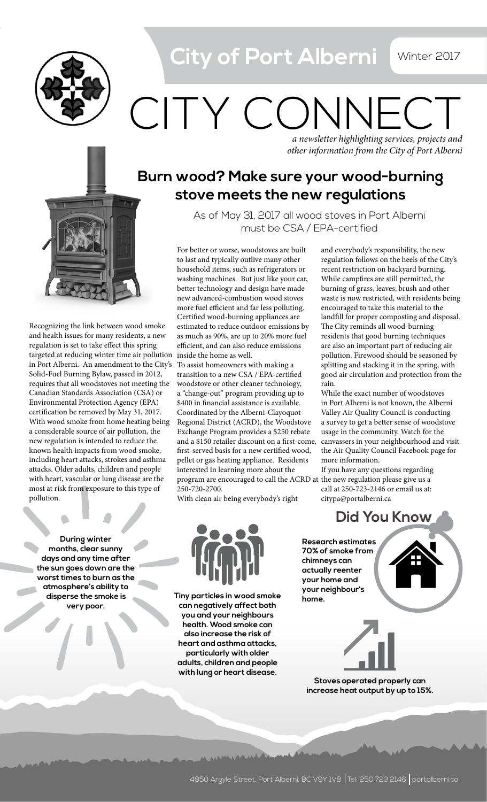City of Port Alberni **Winter 2017** 



*a newsletter highlighting services, projects and*  CITY CONNF

*other information from the City of Port Alberni*

## **Burn wood? Make sure your wood-burning stove meets the new regulations**

As of May 31, 2017 all wood stoves in Port Alberni must be CSA / EPA-certified

targeted at reducing winter time air pollution inside the home as well. For better or worse, woodstoves are built to last and typically outlive many other household items, such as refrigerators or washing machines. But just like your car, better technology and design have made new advanced-combustion wood stoves more fuel efficient and far less polluting. Certified wood-burning appliances are estimated to reduce outdoor emissions by as much as 90%, are up to 20% more fuel efficient, and can also reduce emissions

To assist homeowners with making a transition to a new CSA / EPA-certified woodstove or other cleaner technology, a "change-out" program providing up to \$400 in financial assistance is available. Coordinated by the Alberni-Clayoquot Regional District (ACRD), the Woodstove Exchange Program provides a \$250 rebate first-served basis for a new certified wood, pellet or gas heating appliance. Residents interested in learning more about the program are encouraged to call the ACRD at the new regulation please give us a 250-720-2700.

With clean air being everybody's right

and everybody's responsibility, the new regulation follows on the heels of the City's recent restriction on backyard burning. While campfires are still permitted, the burning of grass, leaves, brush and other waste is now restricted, with residents being encouraged to take this material to the landfill for proper composting and disposal. The City reminds all wood-burning residents that good burning techniques are also an important part of reducing air pollution. Firewood should be seasoned by splitting and stacking it in the spring, with good air circulation and protection from the rain.

and a \$150 retailer discount on a first-come, canvassers in your neighbourhood and visit While the exact number of woodstoves in Port Alberni is not known, the Alberni Valley Air Quality Council is conducting a survey to get a better sense of woodstove usage in the community. Watch for the the Air Quality Council Facebook page for more information.

If you have any questions regarding call at 250-723-2146 or email us at: citypa@portalberni.ca

**During winter months, clear sunny days and any time after the sun goes down are the worst times to burn as the atmosphere's ability to disperse the smoke is very poor.** 

pollution.

Recognizing the link between wood smoke and health issues for many residents, a new regulation is set to take effect this spring

in Port Alberni. An amendment to the City's Solid-Fuel Burning Bylaw, passed in 2012, requires that all woodstoves not meeting the Canadian Standards Association (CSA) or Environmental Protection Agency (EPA) certification be removed by May 31, 2017. With wood smoke from home heating being a considerable source of air pollution, the new regulation is intended to reduce the known health impacts from wood smoke, including heart attacks, strokes and asthma attacks. Older adults, children and people with heart, vascular or lung disease are the most at risk from exposure to this type of



**Tiny particles in wood smoke can negatively affect both you and your neighbours health. Wood smoke can also increase the risk of heart and asthma attacks, particularly with older adults, children and people with lung or heart disease.**

**Research estimates 70% of smoke from chimneys can actually reenter your home and your neighbour's home.**



**Stoves operated properly can increase heat output by up to 15%.**